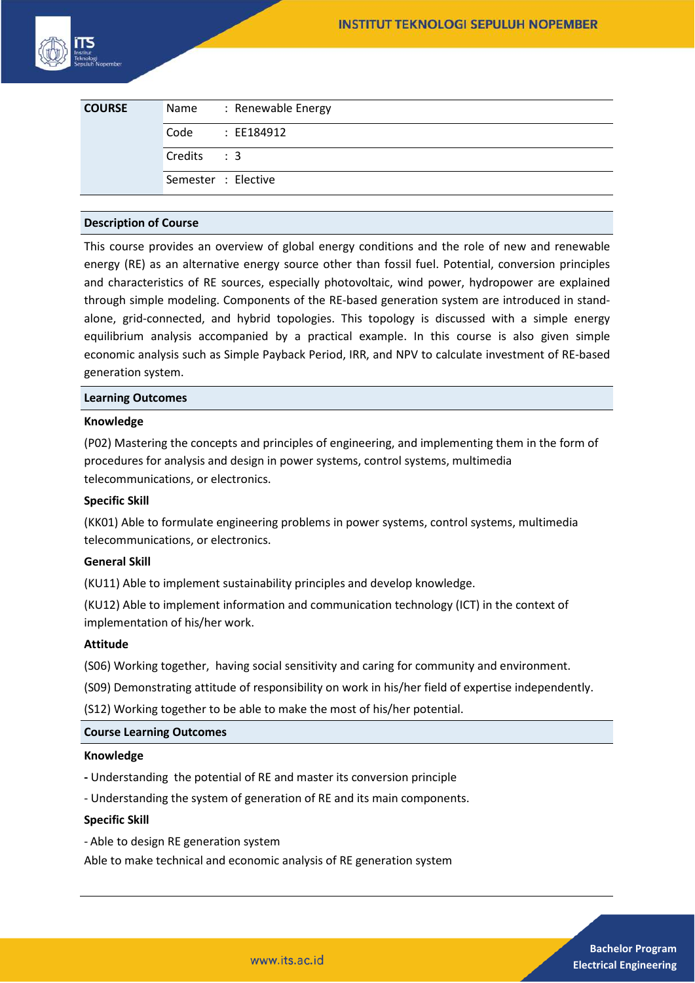

| <b>COURSE</b> |                     | Name : Renewable Energy |
|---------------|---------------------|-------------------------|
|               | Code                | : EE184912              |
|               | Credits : 3         |                         |
|               | Semester : Elective |                         |

#### **Description of Course**

This course provides an overview of global energy conditions and the role of new and renewable energy (RE) as an alternative energy source other than fossil fuel. Potential, conversion principles and characteristics of RE sources, especially photovoltaic, wind power, hydropower are explained through simple modeling. Components of the RE-based generation system are introduced in standalone, grid-connected, and hybrid topologies. This topology is discussed with a simple energy equilibrium analysis accompanied by a practical example. In this course is also given simple economic analysis such as Simple Payback Period, IRR, and NPV to calculate investment of RE-based generation system.

#### **Learning Outcomes**

### **Knowledge**

(P02) Mastering the concepts and principles of engineering, and implementing them in the form of procedures for analysis and design in power systems, control systems, multimedia telecommunications, or electronics.

# **Specific Skill**

(KK01) Able to formulate engineering problems in power systems, control systems, multimedia telecommunications, or electronics.

### **General Skill**

(KU11) Able to implement sustainability principles and develop knowledge.

(KU12) Able to implement information and communication technology (ICT) in the context of implementation of his/her work.

#### **Attitude**

(S06) Working together, having social sensitivity and caring for community and environment.

(S09) Demonstrating attitude of responsibility on work in his/her field of expertise independently.

(S12) Working together to be able to make the most of his/her potential.

#### **Course Learning Outcomes**

#### **Knowledge**

- Understanding the potential of RE and master its conversion principle
- Understanding the system of generation of RE and its main components.

### **Specific Skill**

- Able to design RE generation system

Able to make technical and economic analysis of RE generation system